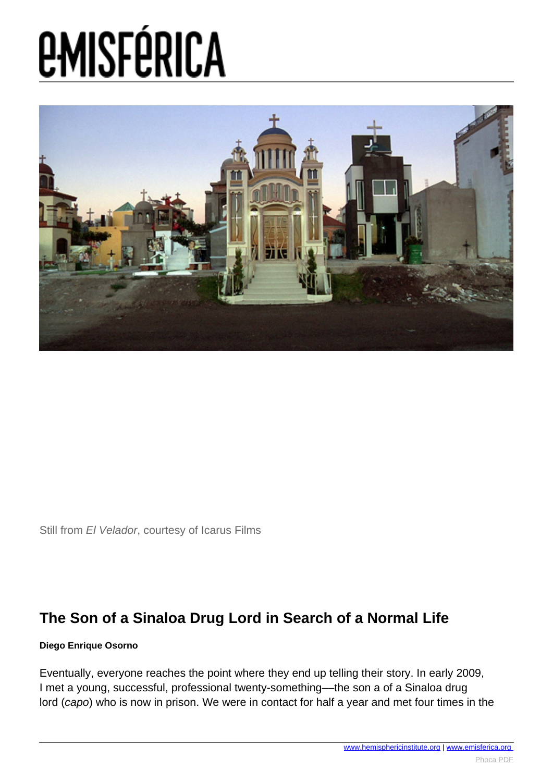

Still from El Velador, courtesy of Icarus Films

#### **The Son of a Sinaloa Drug Lord in Search of a Normal Life**

#### **Diego Enrique Osorno**

Eventually, everyone reaches the point where they end up telling their story. In early 2009, I met a young, successful, professional twenty-something––the son a of a Sinaloa drug lord (capo) who is now in prison. We were in contact for half a year and met four times in the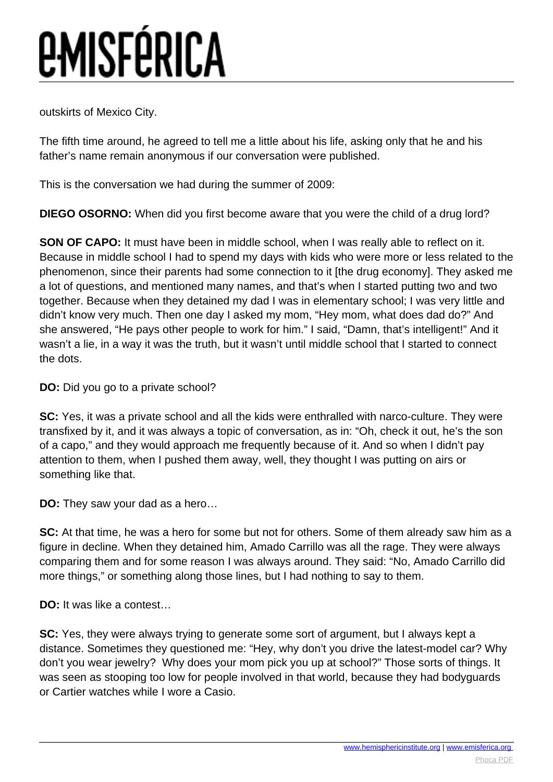outskirts of Mexico City.

The fifth time around, he agreed to tell me a little about his life, asking only that he and his father's name remain anonymous if our conversation were published.

This is the conversation we had during the summer of 2009:

**DIEGO OSORNO:** When did you first become aware that you were the child of a drug lord?

**SON OF CAPO:** It must have been in middle school, when I was really able to reflect on it. Because in middle school I had to spend my days with kids who were more or less related to the phenomenon, since their parents had some connection to it [the drug economy]. They asked me a lot of questions, and mentioned many names, and that's when I started putting two and two together. Because when they detained my dad I was in elementary school; I was very little and didn't know very much. Then one day I asked my mom, "Hey mom, what does dad do?" And she answered, "He pays other people to work for him." I said, "Damn, that's intelligent!" And it wasn't a lie, in a way it was the truth, but it wasn't until middle school that I started to connect the dots.

**DO:** Did you go to a private school?

**SC:** Yes, it was a private school and all the kids were enthralled with narco-culture. They were transfixed by it, and it was always a topic of conversation, as in: "Oh, check it out, he's the son of a capo," and they would approach me frequently because of it. And so when I didn't pay attention to them, when I pushed them away, well, they thought I was putting on airs or something like that.

**DO:** They saw your dad as a hero…

**SC:** At that time, he was a hero for some but not for others. Some of them already saw him as a figure in decline. When they detained him, Amado Carrillo was all the rage. They were always comparing them and for some reason I was always around. They said: "No, Amado Carrillo did more things," or something along those lines, but I had nothing to say to them.

**DO:** It was like a contest…

**SC:** Yes, they were always trying to generate some sort of argument, but I always kept a distance. Sometimes they questioned me: "Hey, why don't you drive the latest-model car? Why don't you wear jewelry? Why does your mom pick you up at school?" Those sorts of things. It was seen as stooping too low for people involved in that world, because they had bodyguards or Cartier watches while I wore a Casio.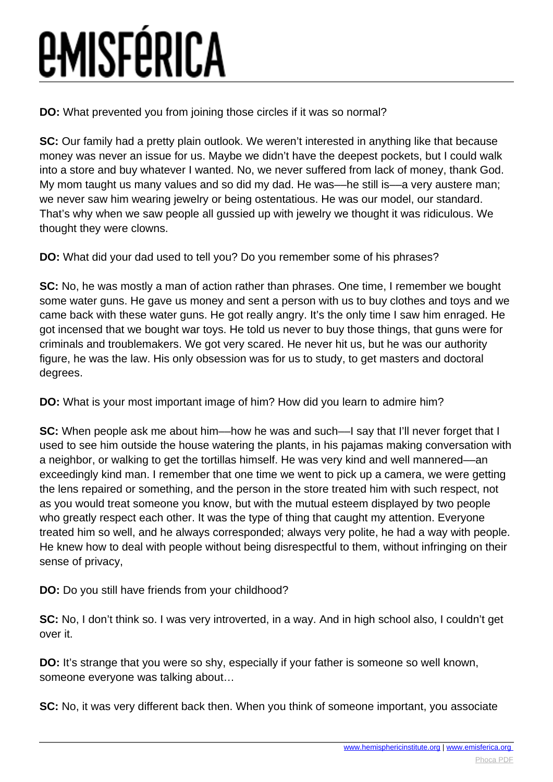**DO:** What prevented you from joining those circles if it was so normal?

**SC:** Our family had a pretty plain outlook. We weren't interested in anything like that because money was never an issue for us. Maybe we didn't have the deepest pockets, but I could walk into a store and buy whatever I wanted. No, we never suffered from lack of money, thank God. My mom taught us many values and so did my dad. He was––he still is––a very austere man; we never saw him wearing jewelry or being ostentatious. He was our model, our standard. That's why when we saw people all gussied up with jewelry we thought it was ridiculous. We thought they were clowns.

**DO:** What did your dad used to tell you? Do you remember some of his phrases?

**SC:** No, he was mostly a man of action rather than phrases. One time, I remember we bought some water guns. He gave us money and sent a person with us to buy clothes and toys and we came back with these water guns. He got really angry. It's the only time I saw him enraged. He got incensed that we bought war toys. He told us never to buy those things, that guns were for criminals and troublemakers. We got very scared. He never hit us, but he was our authority figure, he was the law. His only obsession was for us to study, to get masters and doctoral degrees.

**DO:** What is your most important image of him? How did you learn to admire him?

**SC:** When people ask me about him—how he was and such—I say that I'll never forget that I used to see him outside the house watering the plants, in his pajamas making conversation with a neighbor, or walking to get the tortillas himself. He was very kind and well mannered––an exceedingly kind man. I remember that one time we went to pick up a camera, we were getting the lens repaired or something, and the person in the store treated him with such respect, not as you would treat someone you know, but with the mutual esteem displayed by two people who greatly respect each other. It was the type of thing that caught my attention. Everyone treated him so well, and he always corresponded; always very polite, he had a way with people. He knew how to deal with people without being disrespectful to them, without infringing on their sense of privacy,

**DO:** Do you still have friends from your childhood?

**SC:** No, I don't think so. I was very introverted, in a way. And in high school also, I couldn't get over it.

**DO:** It's strange that you were so shy, especially if your father is someone so well known, someone everyone was talking about…

**SC:** No, it was very different back then. When you think of someone important, you associate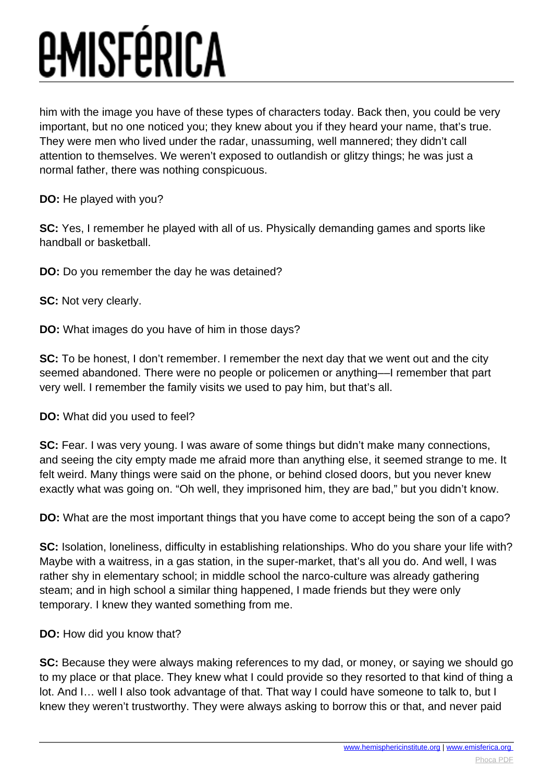him with the image you have of these types of characters today. Back then, you could be very important, but no one noticed you; they knew about you if they heard your name, that's true. They were men who lived under the radar, unassuming, well mannered; they didn't call attention to themselves. We weren't exposed to outlandish or glitzy things; he was just a normal father, there was nothing conspicuous.

**DO:** He played with you?

**SC:** Yes, I remember he played with all of us. Physically demanding games and sports like handball or basketball.

**DO:** Do you remember the day he was detained?

**SC:** Not very clearly.

**DO:** What images do you have of him in those days?

**SC:** To be honest, I don't remember. I remember the next day that we went out and the city seemed abandoned. There were no people or policemen or anything––I remember that part very well. I remember the family visits we used to pay him, but that's all.

**DO:** What did you used to feel?

**SC:** Fear. I was very young. I was aware of some things but didn't make many connections, and seeing the city empty made me afraid more than anything else, it seemed strange to me. It felt weird. Many things were said on the phone, or behind closed doors, but you never knew exactly what was going on. "Oh well, they imprisoned him, they are bad," but you didn't know.

**DO:** What are the most important things that you have come to accept being the son of a capo?

**SC:** Isolation, loneliness, difficulty in establishing relationships. Who do you share your life with? Maybe with a waitress, in a gas station, in the super-market, that's all you do. And well, I was rather shy in elementary school; in middle school the narco-culture was already gathering steam; and in high school a similar thing happened, I made friends but they were only temporary. I knew they wanted something from me.

**DO:** How did you know that?

**SC:** Because they were always making references to my dad, or money, or saying we should go to my place or that place. They knew what I could provide so they resorted to that kind of thing a lot. And I… well I also took advantage of that. That way I could have someone to talk to, but I knew they weren't trustworthy. They were always asking to borrow this or that, and never paid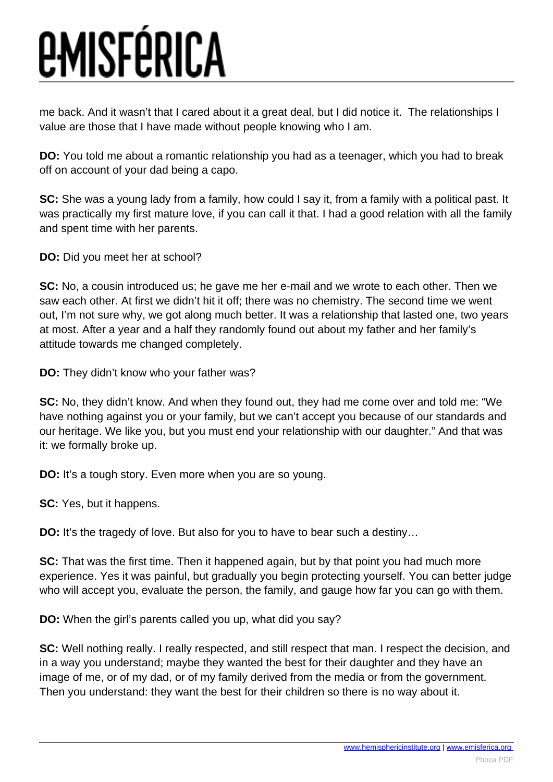me back. And it wasn't that I cared about it a great deal, but I did notice it. The relationships I value are those that I have made without people knowing who I am.

**DO:** You told me about a romantic relationship you had as a teenager, which you had to break off on account of your dad being a capo.

**SC:** She was a young lady from a family, how could I say it, from a family with a political past. It was practically my first mature love, if you can call it that. I had a good relation with all the family and spent time with her parents.

**DO:** Did you meet her at school?

**SC:** No, a cousin introduced us; he gave me her e-mail and we wrote to each other. Then we saw each other. At first we didn't hit it off; there was no chemistry. The second time we went out, I'm not sure why, we got along much better. It was a relationship that lasted one, two years at most. After a year and a half they randomly found out about my father and her family's attitude towards me changed completely.

**DO:** They didn't know who your father was?

**SC:** No, they didn't know. And when they found out, they had me come over and told me: "We have nothing against you or your family, but we can't accept you because of our standards and our heritage. We like you, but you must end your relationship with our daughter." And that was it: we formally broke up.

**DO:** It's a tough story. Even more when you are so young.

**SC:** Yes, but it happens.

**DO:** It's the tragedy of love. But also for you to have to bear such a destiny...

**SC:** That was the first time. Then it happened again, but by that point you had much more experience. Yes it was painful, but gradually you begin protecting yourself. You can better judge who will accept you, evaluate the person, the family, and gauge how far you can go with them.

**DO:** When the girl's parents called you up, what did you say?

**SC:** Well nothing really. I really respected, and still respect that man. I respect the decision, and in a way you understand; maybe they wanted the best for their daughter and they have an image of me, or of my dad, or of my family derived from the media or from the government. Then you understand: they want the best for their children so there is no way about it.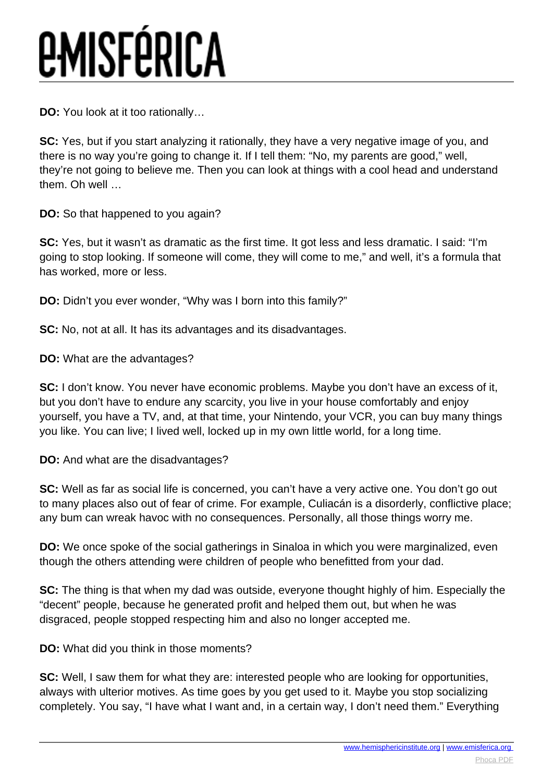**DO:** You look at it too rationally…

**SC:** Yes, but if you start analyzing it rationally, they have a very negative image of you, and there is no way you're going to change it. If I tell them: "No, my parents are good," well, they're not going to believe me. Then you can look at things with a cool head and understand them. Oh well …

**DO:** So that happened to you again?

**SC:** Yes, but it wasn't as dramatic as the first time. It got less and less dramatic. I said: "I'm going to stop looking. If someone will come, they will come to me," and well, it's a formula that has worked, more or less.

**DO:** Didn't you ever wonder, "Why was I born into this family?"

**SC:** No, not at all. It has its advantages and its disadvantages.

**DO:** What are the advantages?

**SC:** I don't know. You never have economic problems. Maybe you don't have an excess of it, but you don't have to endure any scarcity, you live in your house comfortably and enjoy yourself, you have a TV, and, at that time, your Nintendo, your VCR, you can buy many things you like. You can live; I lived well, locked up in my own little world, for a long time.

**DO:** And what are the disadvantages?

**SC:** Well as far as social life is concerned, you can't have a very active one. You don't go out to many places also out of fear of crime. For example, Culiacán is a disorderly, conflictive place; any bum can wreak havoc with no consequences. Personally, all those things worry me.

**DO:** We once spoke of the social gatherings in Sinaloa in which you were marginalized, even though the others attending were children of people who benefitted from your dad.

**SC:** The thing is that when my dad was outside, everyone thought highly of him. Especially the "decent" people, because he generated profit and helped them out, but when he was disgraced, people stopped respecting him and also no longer accepted me.

**DO:** What did you think in those moments?

**SC:** Well, I saw them for what they are: interested people who are looking for opportunities, always with ulterior motives. As time goes by you get used to it. Maybe you stop socializing completely. You say, "I have what I want and, in a certain way, I don't need them." Everything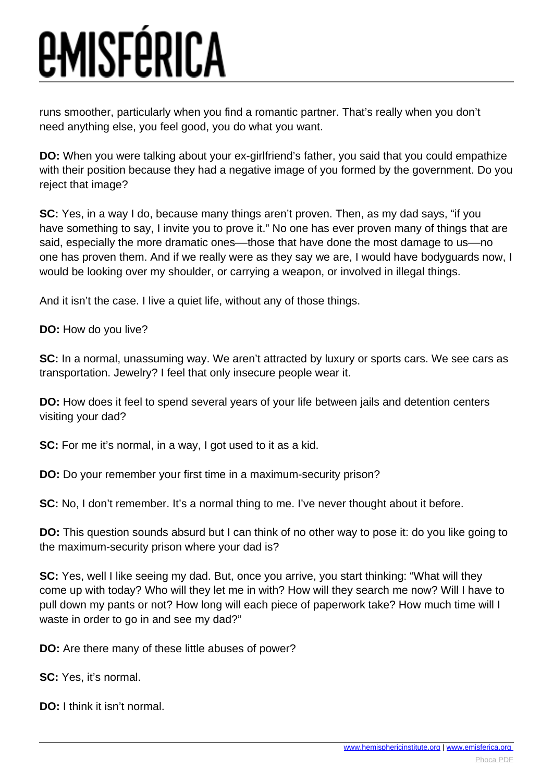runs smoother, particularly when you find a romantic partner. That's really when you don't need anything else, you feel good, you do what you want.

**DO:** When you were talking about your ex-girlfriend's father, you said that you could empathize with their position because they had a negative image of you formed by the government. Do you reject that image?

**SC:** Yes, in a way I do, because many things aren't proven. Then, as my dad says, "if you have something to say, I invite you to prove it." No one has ever proven many of things that are said, especially the more dramatic ones––those that have done the most damage to us––no one has proven them. And if we really were as they say we are, I would have bodyguards now, I would be looking over my shoulder, or carrying a weapon, or involved in illegal things.

And it isn't the case. I live a quiet life, without any of those things.

**DO:** How do you live?

**SC:** In a normal, unassuming way. We aren't attracted by luxury or sports cars. We see cars as transportation. Jewelry? I feel that only insecure people wear it.

**DO:** How does it feel to spend several years of your life between jails and detention centers visiting your dad?

**SC:** For me it's normal, in a way, I got used to it as a kid.

**DO:** Do your remember your first time in a maximum-security prison?

**SC:** No, I don't remember. It's a normal thing to me. I've never thought about it before.

**DO:** This question sounds absurd but I can think of no other way to pose it: do you like going to the maximum-security prison where your dad is?

**SC:** Yes, well I like seeing my dad. But, once you arrive, you start thinking: "What will they come up with today? Who will they let me in with? How will they search me now? Will I have to pull down my pants or not? How long will each piece of paperwork take? How much time will I waste in order to go in and see my dad?"

**DO:** Are there many of these little abuses of power?

**SC:** Yes, it's normal.

**DO:** I think it isn't normal.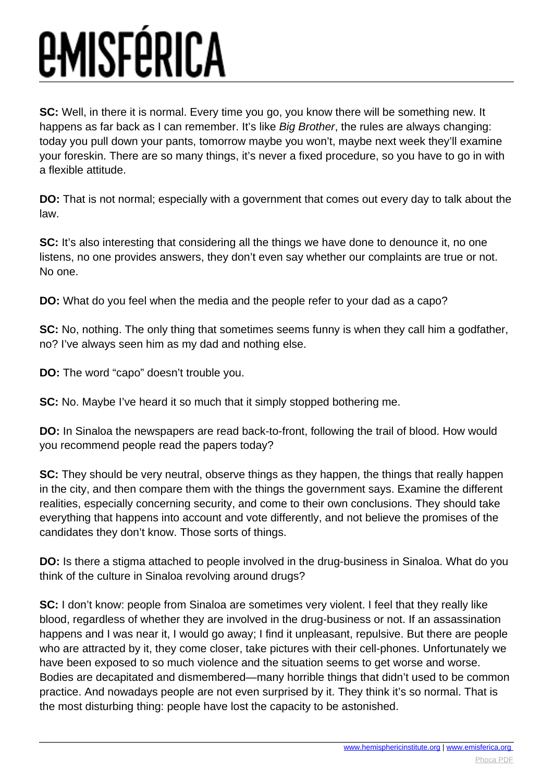**SC:** Well, in there it is normal. Every time you go, you know there will be something new. It happens as far back as I can remember. It's like Big Brother, the rules are always changing: today you pull down your pants, tomorrow maybe you won't, maybe next week they'll examine your foreskin. There are so many things, it's never a fixed procedure, so you have to go in with a flexible attitude.

**DO:** That is not normal; especially with a government that comes out every day to talk about the law.

**SC:** It's also interesting that considering all the things we have done to denounce it, no one listens, no one provides answers, they don't even say whether our complaints are true or not. No one.

**DO:** What do you feel when the media and the people refer to your dad as a capo?

**SC:** No, nothing. The only thing that sometimes seems funny is when they call him a godfather, no? I've always seen him as my dad and nothing else.

**DO:** The word "capo" doesn't trouble you.

**SC:** No. Maybe I've heard it so much that it simply stopped bothering me.

**DO:** In Sinaloa the newspapers are read back-to-front, following the trail of blood. How would you recommend people read the papers today?

**SC:** They should be very neutral, observe things as they happen, the things that really happen in the city, and then compare them with the things the government says. Examine the different realities, especially concerning security, and come to their own conclusions. They should take everything that happens into account and vote differently, and not believe the promises of the candidates they don't know. Those sorts of things.

**DO:** Is there a stigma attached to people involved in the drug-business in Sinaloa. What do you think of the culture in Sinaloa revolving around drugs?

**SC:** I don't know: people from Sinaloa are sometimes very violent. I feel that they really like blood, regardless of whether they are involved in the drug-business or not. If an assassination happens and I was near it, I would go away; I find it unpleasant, repulsive. But there are people who are attracted by it, they come closer, take pictures with their cell-phones. Unfortunately we have been exposed to so much violence and the situation seems to get worse and worse. Bodies are decapitated and dismembered—many horrible things that didn't used to be common practice. And nowadays people are not even surprised by it. They think it's so normal. That is the most disturbing thing: people have lost the capacity to be astonished.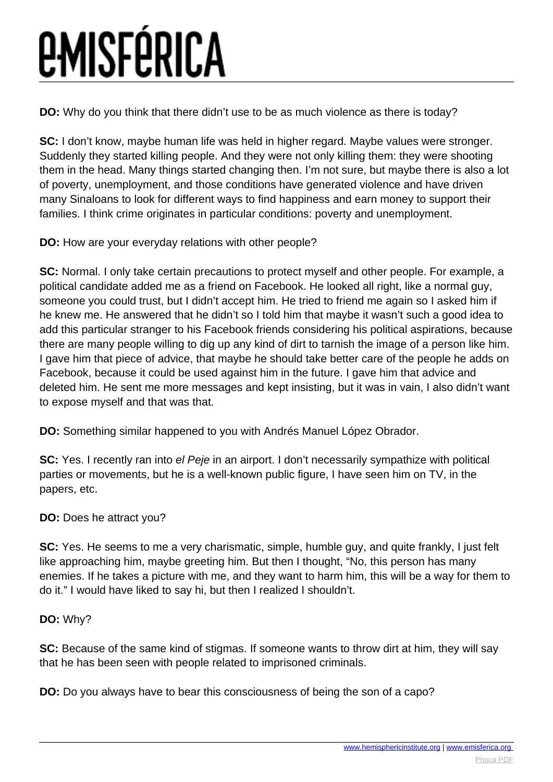**DO:** Why do you think that there didn't use to be as much violence as there is today?

**SC:** I don't know, maybe human life was held in higher regard. Maybe values were stronger. Suddenly they started killing people. And they were not only killing them: they were shooting them in the head. Many things started changing then. I'm not sure, but maybe there is also a lot of poverty, unemployment, and those conditions have generated violence and have driven many Sinaloans to look for different ways to find happiness and earn money to support their families. I think crime originates in particular conditions: poverty and unemployment.

**DO:** How are your everyday relations with other people?

**SC:** Normal. I only take certain precautions to protect myself and other people. For example, a political candidate added me as a friend on Facebook. He looked all right, like a normal guy, someone you could trust, but I didn't accept him. He tried to friend me again so I asked him if he knew me. He answered that he didn't so I told him that maybe it wasn't such a good idea to add this particular stranger to his Facebook friends considering his political aspirations, because there are many people willing to dig up any kind of dirt to tarnish the image of a person like him. I gave him that piece of advice, that maybe he should take better care of the people he adds on Facebook, because it could be used against him in the future. I gave him that advice and deleted him. He sent me more messages and kept insisting, but it was in vain, I also didn't want to expose myself and that was that.

**DO:** Something similar happened to you with Andrés Manuel López Obrador.

**SC:** Yes. I recently ran into el Peje in an airport. I don't necessarily sympathize with political parties or movements, but he is a well-known public figure, I have seen him on TV, in the papers, etc.

#### **DO:** Does he attract you?

**SC:** Yes. He seems to me a very charismatic, simple, humble guy, and quite frankly, I just felt like approaching him, maybe greeting him. But then I thought, "No, this person has many enemies. If he takes a picture with me, and they want to harm him, this will be a way for them to do it." I would have liked to say hi, but then I realized I shouldn't.

#### **DO:** Why?

**SC:** Because of the same kind of stigmas. If someone wants to throw dirt at him, they will say that he has been seen with people related to imprisoned criminals.

**DO:** Do you always have to bear this consciousness of being the son of a capo?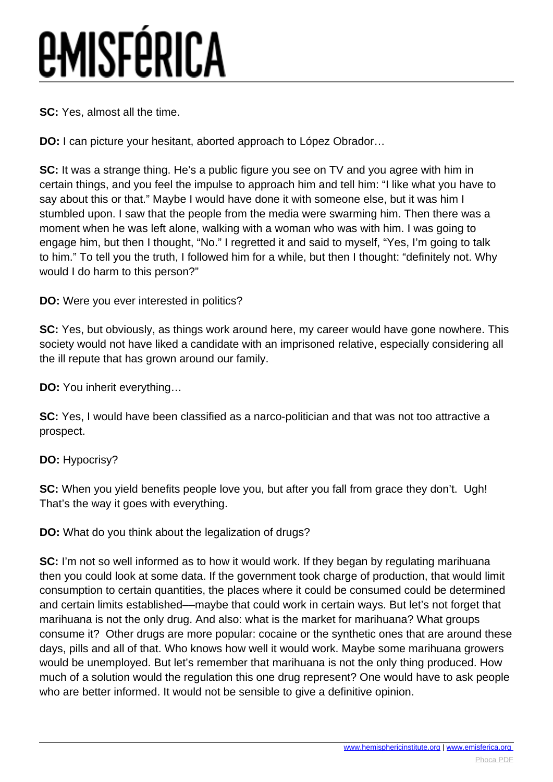**SC:** Yes, almost all the time.

**DO:** I can picture your hesitant, aborted approach to López Obrador…

**SC:** It was a strange thing. He's a public figure you see on TV and you agree with him in certain things, and you feel the impulse to approach him and tell him: "I like what you have to say about this or that." Maybe I would have done it with someone else, but it was him I stumbled upon. I saw that the people from the media were swarming him. Then there was a moment when he was left alone, walking with a woman who was with him. I was going to engage him, but then I thought, "No." I regretted it and said to myself, "Yes, I'm going to talk to him." To tell you the truth, I followed him for a while, but then I thought: "definitely not. Why would I do harm to this person?"

**DO:** Were you ever interested in politics?

**SC:** Yes, but obviously, as things work around here, my career would have gone nowhere. This society would not have liked a candidate with an imprisoned relative, especially considering all the ill repute that has grown around our family.

**DO:** You inherit everything…

**SC:** Yes, I would have been classified as a narco-politician and that was not too attractive a prospect.

**DO:** Hypocrisy?

**SC:** When you yield benefits people love you, but after you fall from grace they don't. Ugh! That's the way it goes with everything.

**DO:** What do you think about the legalization of drugs?

**SC:** I'm not so well informed as to how it would work. If they began by regulating marihuana then you could look at some data. If the government took charge of production, that would limit consumption to certain quantities, the places where it could be consumed could be determined and certain limits established––maybe that could work in certain ways. But let's not forget that marihuana is not the only drug. And also: what is the market for marihuana? What groups consume it? Other drugs are more popular: cocaine or the synthetic ones that are around these days, pills and all of that. Who knows how well it would work. Maybe some marihuana growers would be unemployed. But let's remember that marihuana is not the only thing produced. How much of a solution would the regulation this one drug represent? One would have to ask people who are better informed. It would not be sensible to give a definitive opinion.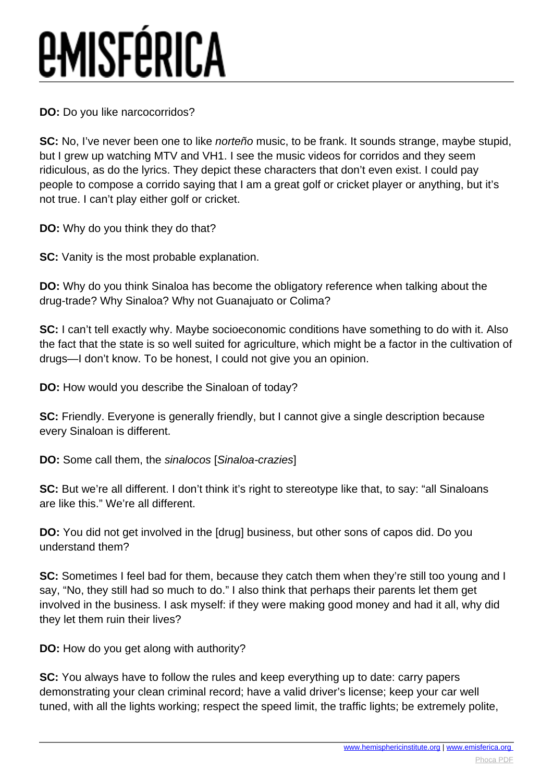**DO:** Do you like narcocorridos?

**SC:** No, I've never been one to like norteño music, to be frank. It sounds strange, maybe stupid, but I grew up watching MTV and VH1. I see the music videos for corridos and they seem ridiculous, as do the lyrics. They depict these characters that don't even exist. I could pay people to compose a corrido saying that I am a great golf or cricket player or anything, but it's not true. I can't play either golf or cricket.

**DO:** Why do you think they do that?

**SC:** Vanity is the most probable explanation.

**DO:** Why do you think Sinaloa has become the obligatory reference when talking about the drug-trade? Why Sinaloa? Why not Guanajuato or Colima?

**SC:** I can't tell exactly why. Maybe socioeconomic conditions have something to do with it. Also the fact that the state is so well suited for agriculture, which might be a factor in the cultivation of drugs—I don't know. To be honest, I could not give you an opinion.

**DO:** How would you describe the Sinaloan of today?

**SC:** Friendly. Everyone is generally friendly, but I cannot give a single description because every Sinaloan is different.

**DO:** Some call them, the sinalocos [Sinaloa-crazies]

**SC:** But we're all different. I don't think it's right to stereotype like that, to say: "all Sinaloans are like this." We're all different.

**DO:** You did not get involved in the [drug] business, but other sons of capos did. Do you understand them?

**SC:** Sometimes I feel bad for them, because they catch them when they're still too young and I say, "No, they still had so much to do." I also think that perhaps their parents let them get involved in the business. I ask myself: if they were making good money and had it all, why did they let them ruin their lives?

**DO:** How do you get along with authority?

**SC:** You always have to follow the rules and keep everything up to date: carry papers demonstrating your clean criminal record; have a valid driver's license; keep your car well tuned, with all the lights working; respect the speed limit, the traffic lights; be extremely polite,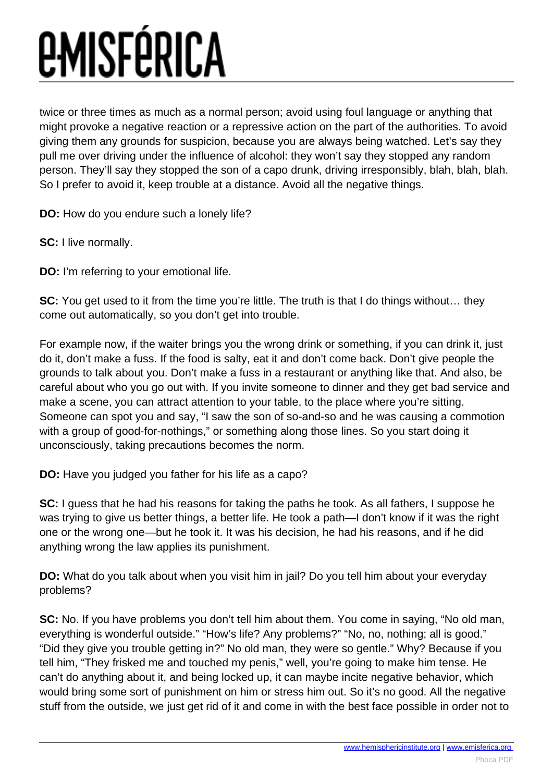twice or three times as much as a normal person; avoid using foul language or anything that might provoke a negative reaction or a repressive action on the part of the authorities. To avoid giving them any grounds for suspicion, because you are always being watched. Let's say they pull me over driving under the influence of alcohol: they won't say they stopped any random person. They'll say they stopped the son of a capo drunk, driving irresponsibly, blah, blah, blah. So I prefer to avoid it, keep trouble at a distance. Avoid all the negative things.

**DO:** How do you endure such a lonely life?

**SC:** I live normally.

**DO:** I'm referring to your emotional life.

**SC:** You get used to it from the time you're little. The truth is that I do things without... they come out automatically, so you don't get into trouble.

For example now, if the waiter brings you the wrong drink or something, if you can drink it, just do it, don't make a fuss. If the food is salty, eat it and don't come back. Don't give people the grounds to talk about you. Don't make a fuss in a restaurant or anything like that. And also, be careful about who you go out with. If you invite someone to dinner and they get bad service and make a scene, you can attract attention to your table, to the place where you're sitting. Someone can spot you and say, "I saw the son of so-and-so and he was causing a commotion with a group of good-for-nothings," or something along those lines. So you start doing it unconsciously, taking precautions becomes the norm.

**DO:** Have you judged you father for his life as a capo?

**SC:** I guess that he had his reasons for taking the paths he took. As all fathers, I suppose he was trying to give us better things, a better life. He took a path—I don't know if it was the right one or the wrong one—but he took it. It was his decision, he had his reasons, and if he did anything wrong the law applies its punishment.

**DO:** What do you talk about when you visit him in jail? Do you tell him about your everyday problems?

**SC:** No. If you have problems you don't tell him about them. You come in saying, "No old man, everything is wonderful outside." "How's life? Any problems?" "No, no, nothing; all is good." "Did they give you trouble getting in?" No old man, they were so gentle." Why? Because if you tell him, "They frisked me and touched my penis," well, you're going to make him tense. He can't do anything about it, and being locked up, it can maybe incite negative behavior, which would bring some sort of punishment on him or stress him out. So it's no good. All the negative stuff from the outside, we just get rid of it and come in with the best face possible in order not to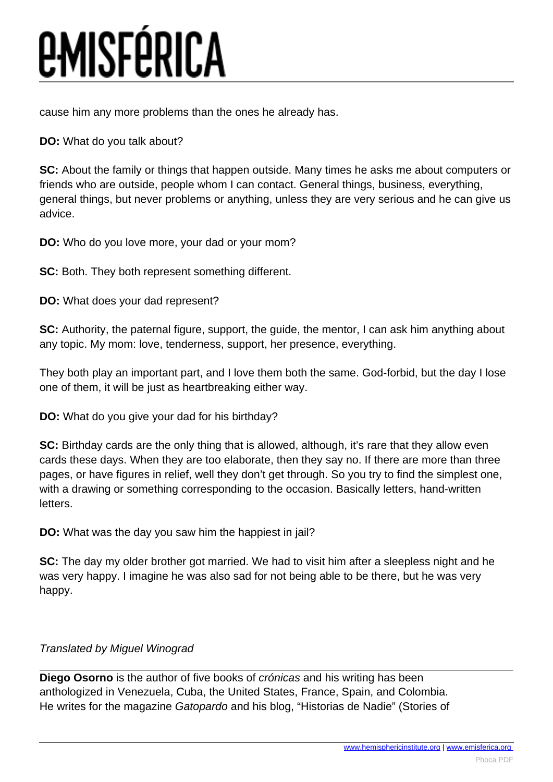cause him any more problems than the ones he already has.

#### **DO:** What do you talk about?

**SC:** About the family or things that happen outside. Many times he asks me about computers or friends who are outside, people whom I can contact. General things, business, everything, general things, but never problems or anything, unless they are very serious and he can give us advice.

**DO:** Who do you love more, your dad or your mom?

**SC:** Both. They both represent something different.

**DO:** What does your dad represent?

**SC:** Authority, the paternal figure, support, the guide, the mentor, I can ask him anything about any topic. My mom: love, tenderness, support, her presence, everything.

They both play an important part, and I love them both the same. God-forbid, but the day I lose one of them, it will be just as heartbreaking either way.

**DO:** What do you give your dad for his birthday?

**SC:** Birthday cards are the only thing that is allowed, although, it's rare that they allow even cards these days. When they are too elaborate, then they say no. If there are more than three pages, or have figures in relief, well they don't get through. So you try to find the simplest one, with a drawing or something corresponding to the occasion. Basically letters, hand-written letters.

**DO:** What was the day you saw him the happiest in jail?

**SC:** The day my older brother got married. We had to visit him after a sleepless night and he was very happy. I imagine he was also sad for not being able to be there, but he was very happy.

#### Translated by Miguel Winograd

**Diego Osorno** is the author of five books of crónicas and his writing has been anthologized in Venezuela, Cuba, the United States, France, Spain, and Colombia. He writes for the magazine Gatopardo and his blog, "Historias de Nadie" (Stories of